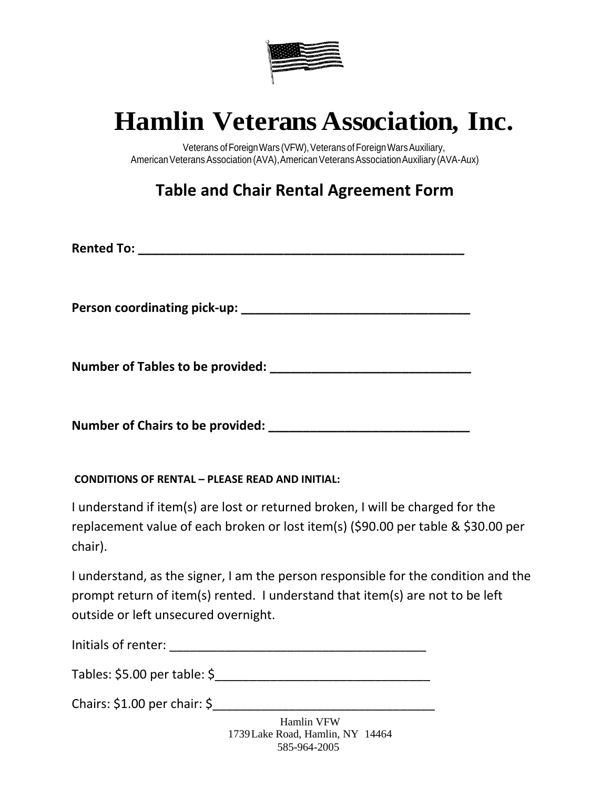

## **Hamlin Veterans Association, Inc.**

Veterans of Foreign Wars (VFW), Veterans of Foreign Wars Auxiliary, American Veterans Association (AVA), American Veterans Association Auxiliary (AVA-Aux)

**Table and Chair Rental Agreement Form**

**Rented To: Example 20 and 20 and 20 and 20 and 20 and 20 and 20 and 20 and 20 and 20 and 20 and 20 and 20 and 20 and 20 and 20 and 20 and 20 and 20 and 20 and 20 and 20 and 20 and 20 and 20 and 20 and 20 and 20 and 20 a** 

**Person coordinating pick-up: \_\_\_\_\_\_\_\_\_\_\_\_\_\_\_\_\_\_\_\_\_\_\_\_\_\_\_\_\_\_\_\_\_**

**Number of Tables to be provided: \_\_\_\_\_\_\_\_\_\_\_\_\_\_\_\_\_\_\_\_\_\_\_\_\_\_\_\_\_**

**Number of Chairs to be provided: \_\_\_\_\_\_\_\_\_\_\_\_\_\_\_\_\_\_\_\_\_\_\_\_\_\_\_\_\_**

## **CONDITIONS OF RENTAL – PLEASE READ AND INITIAL:**

I understand if item(s) are lost or returned broken, I will be charged for the replacement value of each broken or lost item(s) (\$90.00 per table & \$30.00 per chair).

I understand, as the signer, I am the person responsible for the condition and the prompt return of item(s) rented. I understand that item(s) are not to be left outside or left unsecured overnight.

| Initials of renter: |  |  |
|---------------------|--|--|
|                     |  |  |

Tables: \$5.00 per table: \$\_\_\_\_\_\_\_\_\_\_\_\_\_\_\_\_\_\_\_\_\_\_\_\_\_\_\_\_\_\_\_

Chairs: \$1.00 per chair: \$\_\_\_\_\_\_\_\_\_\_\_\_\_\_\_\_\_\_\_\_\_\_\_\_\_\_\_\_\_\_\_\_

Hamlin VFW 1739Lake Road, Hamlin, NY 14464 585-964-2005